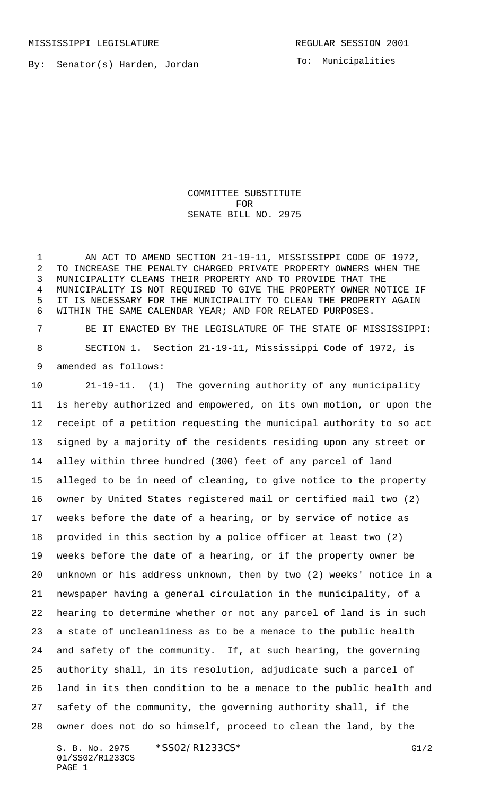By: Senator(s) Harden, Jordan

To: Municipalities

COMMITTEE SUBSTITUTE FOR SENATE BILL NO. 2975

1 AN ACT TO AMEND SECTION 21-19-11, MISSISSIPPI CODE OF 1972, TO INCREASE THE PENALTY CHARGED PRIVATE PROPERTY OWNERS WHEN THE MUNICIPALITY CLEANS THEIR PROPERTY AND TO PROVIDE THAT THE MUNICIPALITY IS NOT REQUIRED TO GIVE THE PROPERTY OWNER NOTICE IF IT IS NECESSARY FOR THE MUNICIPALITY TO CLEAN THE PROPERTY AGAIN WITHIN THE SAME CALENDAR YEAR; AND FOR RELATED PURPOSES.

 BE IT ENACTED BY THE LEGISLATURE OF THE STATE OF MISSISSIPPI: SECTION 1. Section 21-19-11, Mississippi Code of 1972, is amended as follows:

 21-19-11. (1) The governing authority of any municipality is hereby authorized and empowered, on its own motion, or upon the receipt of a petition requesting the municipal authority to so act signed by a majority of the residents residing upon any street or alley within three hundred (300) feet of any parcel of land alleged to be in need of cleaning, to give notice to the property owner by United States registered mail or certified mail two (2) weeks before the date of a hearing, or by service of notice as provided in this section by a police officer at least two (2) weeks before the date of a hearing, or if the property owner be unknown or his address unknown, then by two (2) weeks' notice in a newspaper having a general circulation in the municipality, of a hearing to determine whether or not any parcel of land is in such a state of uncleanliness as to be a menace to the public health and safety of the community. If, at such hearing, the governing authority shall, in its resolution, adjudicate such a parcel of land in its then condition to be a menace to the public health and safety of the community, the governing authority shall, if the owner does not do so himself, proceed to clean the land, by the

S. B. No. 2975 \* SSO2/R1233CS\* G1/2 01/SS02/R1233CS PAGE 1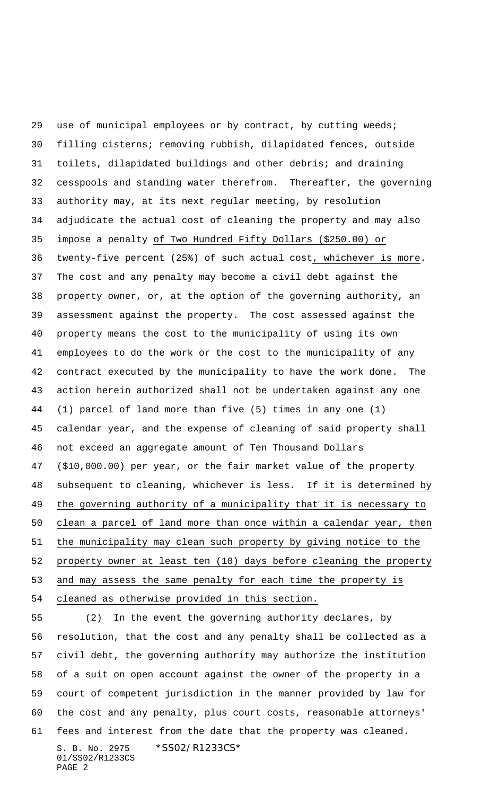use of municipal employees or by contract, by cutting weeds; filling cisterns; removing rubbish, dilapidated fences, outside toilets, dilapidated buildings and other debris; and draining cesspools and standing water therefrom. Thereafter, the governing authority may, at its next regular meeting, by resolution adjudicate the actual cost of cleaning the property and may also impose a penalty of Two Hundred Fifty Dollars (\$250.00) or twenty-five percent (25%) of such actual cost, whichever is more. The cost and any penalty may become a civil debt against the property owner, or, at the option of the governing authority, an assessment against the property. The cost assessed against the property means the cost to the municipality of using its own employees to do the work or the cost to the municipality of any contract executed by the municipality to have the work done. The action herein authorized shall not be undertaken against any one (1) parcel of land more than five (5) times in any one (1) calendar year, and the expense of cleaning of said property shall not exceed an aggregate amount of Ten Thousand Dollars (\$10,000.00) per year, or the fair market value of the property subsequent to cleaning, whichever is less. If it is determined by the governing authority of a municipality that it is necessary to clean a parcel of land more than once within a calendar year, then the municipality may clean such property by giving notice to the property owner at least ten (10) days before cleaning the property 53 and may assess the same penalty for each time the property is cleaned as otherwise provided in this section.

S. B. No. 2975 \* SS02/R1233CS\* 01/SS02/R1233CS PAGE 2 (2) In the event the governing authority declares, by resolution, that the cost and any penalty shall be collected as a civil debt, the governing authority may authorize the institution of a suit on open account against the owner of the property in a court of competent jurisdiction in the manner provided by law for the cost and any penalty, plus court costs, reasonable attorneys' fees and interest from the date that the property was cleaned.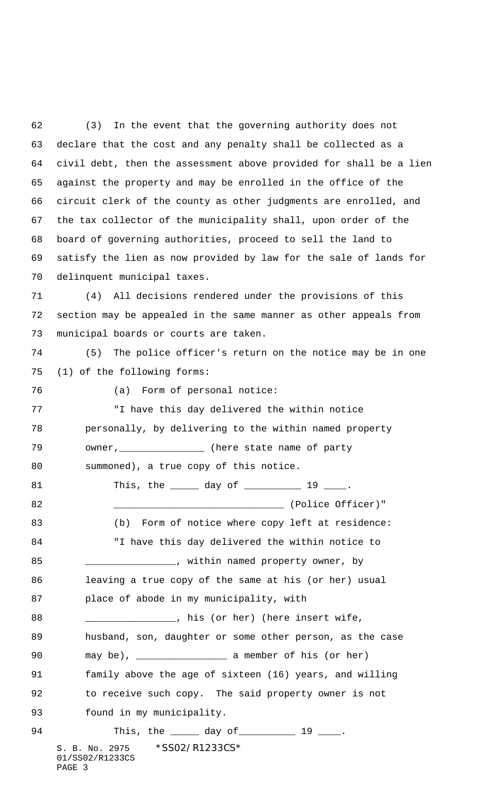(3) In the event that the governing authority does not declare that the cost and any penalty shall be collected as a civil debt, then the assessment above provided for shall be a lien against the property and may be enrolled in the office of the circuit clerk of the county as other judgments are enrolled, and the tax collector of the municipality shall, upon order of the board of governing authorities, proceed to sell the land to satisfy the lien as now provided by law for the sale of lands for delinquent municipal taxes.

 (4) All decisions rendered under the provisions of this section may be appealed in the same manner as other appeals from municipal boards or courts are taken.

 (5) The police officer's return on the notice may be in one (1) of the following forms:

(a) Form of personal notice:

 "I have this day delivered the within notice personally, by delivering to the within named property 79 owner, \_\_\_\_\_\_\_\_\_\_\_\_\_\_\_ (here state name of party

80 summoned), a true copy of this notice.

81 This, the <u>equal day of equal</u> 19 <u>equal</u> 19 and 19 and 19 and 19 and 19 and 19 and 19 and 19 and 19 and 19 and 19 and 19 and 19 and 19 and 19 and 19 and 19 and 19 and 19 and 19 and 19 and 19 and 19 and 19 and 19 and 19 \_\_\_\_\_\_\_\_\_\_\_\_\_\_\_\_\_\_\_\_\_\_\_\_\_\_\_\_\_\_ (Police Officer)" 83 (b) Form of notice where copy left at residence: "I have this day delivered the within notice to 85 \_\_\_\_\_\_\_\_\_\_\_\_\_\_\_\_\_\_, within named property owner, by leaving a true copy of the same at his (or her) usual place of abode in my municipality, with 88 \_\_\_\_\_\_\_\_\_\_\_\_\_\_\_\_, his (or her) (here insert wife, husband, son, daughter or some other person, as the case may be), \_\_\_\_\_\_\_\_\_\_\_\_\_\_\_\_ a member of his (or her) family above the age of sixteen (16) years, and willing to receive such copy. The said property owner is not found in my municipality. 94 This, the 10 day of 200 19

S. B. No. 2975 \* SS02/R1233CS\* 01/SS02/R1233CS PAGE 3